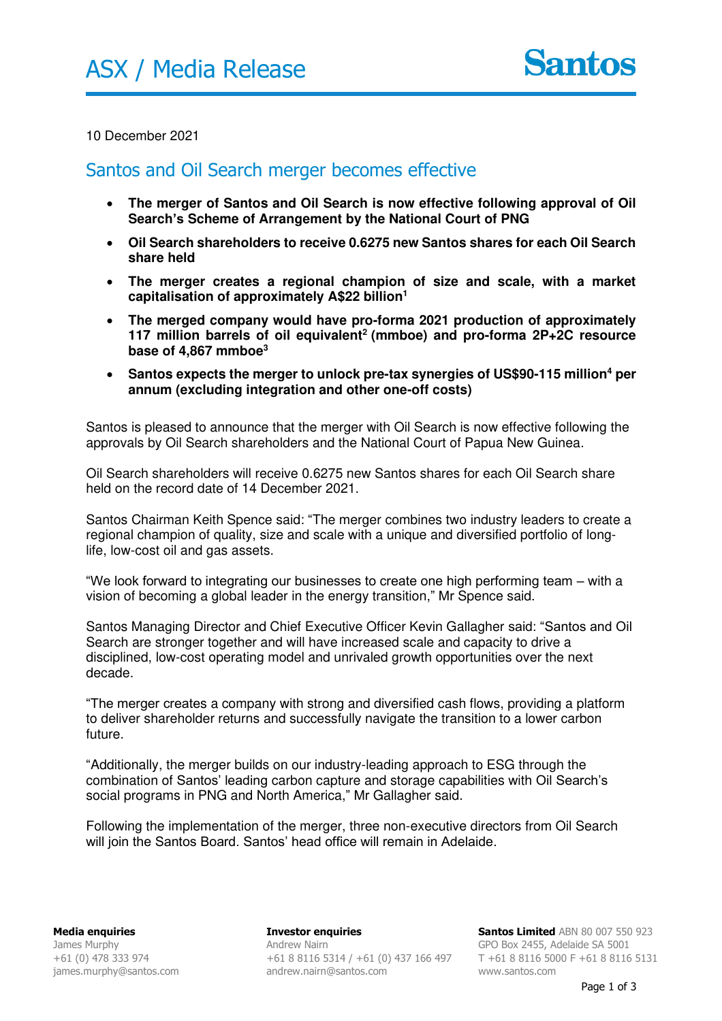## 10 December 2021

## Santos and Oil Search merger becomes effective

- **The merger of Santos and Oil Search is now effective following approval of Oil Search's Scheme of Arrangement by the National Court of PNG**
- **Oil Search shareholders to receive 0.6275 new Santos shares for each Oil Search share held**
- **The merger creates a regional champion of size and scale, with a market capitalisation of approximately A\$22 billion<sup>1</sup>**
- **The merged company would have pro-forma 2021 production of approximately 117 million barrels of oil equivalent<sup>2</sup>(mmboe) and pro-forma 2P+2C resource base of 4,867 mmboe<sup>3</sup>**
- **Santos expects the merger to unlock pre-tax synergies of US\$90-115 million<sup>4</sup> per annum (excluding integration and other one-off costs)**

Santos is pleased to announce that the merger with Oil Search is now effective following the approvals by Oil Search shareholders and the National Court of Papua New Guinea.

Oil Search shareholders will receive 0.6275 new Santos shares for each Oil Search share held on the record date of 14 December 2021.

Santos Chairman Keith Spence said: "The merger combines two industry leaders to create a regional champion of quality, size and scale with a unique and diversified portfolio of longlife, low-cost oil and gas assets.

"We look forward to integrating our businesses to create one high performing team – with a vision of becoming a global leader in the energy transition," Mr Spence said.

Santos Managing Director and Chief Executive Officer Kevin Gallagher said: "Santos and Oil Search are stronger together and will have increased scale and capacity to drive a disciplined, low-cost operating model and unrivaled growth opportunities over the next decade.

"The merger creates a company with strong and diversified cash flows, providing a platform to deliver shareholder returns and successfully navigate the transition to a lower carbon future.

"Additionally, the merger builds on our industry-leading approach to ESG through the combination of Santos' leading carbon capture and storage capabilities with Oil Search's social programs in PNG and North America," Mr Gallagher said.

Following the implementation of the merger, three non-executive directors from Oil Search will join the Santos Board. Santos' head office will remain in Adelaide.

**Investor enquiries**  Andrew Nairn +61 8 8116 5314 / +61 (0) 437 166 497 andrew.nairn@santos.com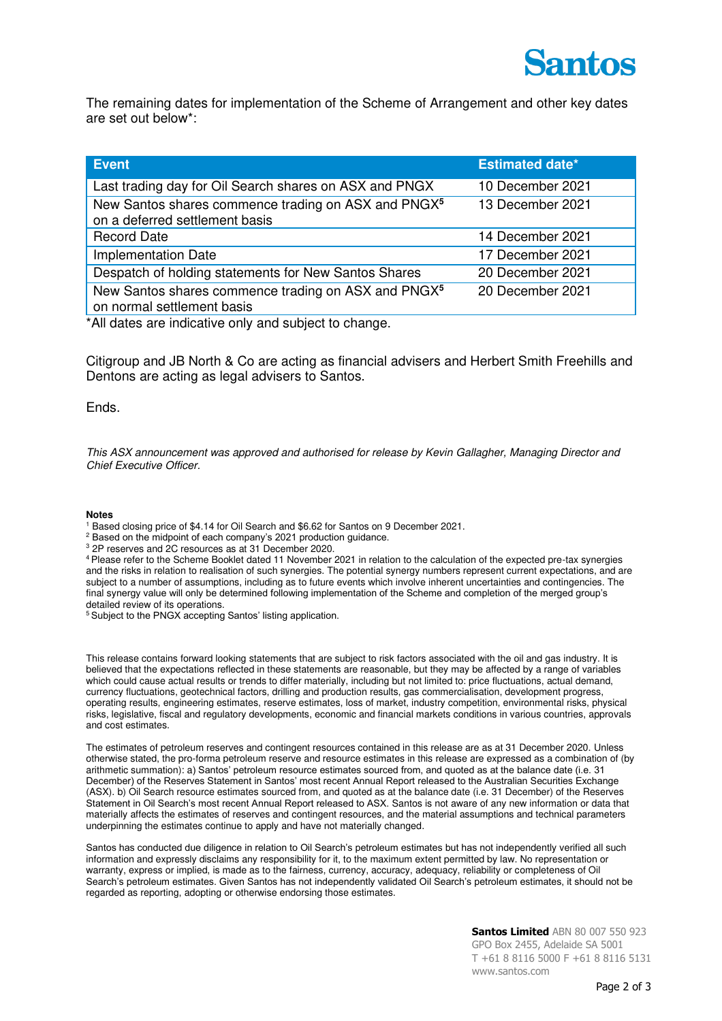

The remaining dates for implementation of the Scheme of Arrangement and other key dates are set out below\*:

| <b>Event</b>                                                                                      | <b>Estimated date*</b> |
|---------------------------------------------------------------------------------------------------|------------------------|
| Last trading day for Oil Search shares on ASX and PNGX                                            | 10 December 2021       |
| New Santos shares commence trading on ASX and PNGX <sup>5</sup><br>on a deferred settlement basis | 13 December 2021       |
| <b>Record Date</b>                                                                                | 14 December 2021       |
| <b>Implementation Date</b>                                                                        | 17 December 2021       |
| Despatch of holding statements for New Santos Shares                                              | 20 December 2021       |
| New Santos shares commence trading on ASX and PNGX <sup>5</sup><br>on normal settlement basis     | 20 December 2021       |

\*All dates are indicative only and subject to change.

Citigroup and JB North & Co are acting as financial advisers and Herbert Smith Freehills and Dentons are acting as legal advisers to Santos.

Ends.

This ASX announcement was approved and authorised for release by Kevin Gallagher, Managing Director and Chief Executive Officer.

## **Notes**

- 1 Based closing price of \$4.14 for Oil Search and \$6.62 for Santos on 9 December 2021.
- <sup>2</sup> Based on the midpoint of each company's 2021 production guidance.
- 3 2P reserves and 2C resources as at 31 December 2020.

<sup>4</sup>Please refer to the Scheme Booklet dated 11 November 2021 in relation to the calculation of the expected pre-tax synergies and the risks in relation to realisation of such synergies. The potential synergy numbers represent current expectations, and are subject to a number of assumptions, including as to future events which involve inherent uncertainties and contingencies. The final synergy value will only be determined following implementation of the Scheme and completion of the merged group's detailed review of its operations.

<sup>5</sup> Subject to the PNGX accepting Santos' listing application.

This release contains forward looking statements that are subject to risk factors associated with the oil and gas industry. It is believed that the expectations reflected in these statements are reasonable, but they may be affected by a range of variables which could cause actual results or trends to differ materially, including but not limited to: price fluctuations, actual demand, currency fluctuations, geotechnical factors, drilling and production results, gas commercialisation, development progress, operating results, engineering estimates, reserve estimates, loss of market, industry competition, environmental risks, physical risks, legislative, fiscal and regulatory developments, economic and financial markets conditions in various countries, approvals and cost estimates.

The estimates of petroleum reserves and contingent resources contained in this release are as at 31 December 2020. Unless otherwise stated, the pro-forma petroleum reserve and resource estimates in this release are expressed as a combination of (by arithmetic summation): a) Santos' petroleum resource estimates sourced from, and quoted as at the balance date (i.e. 31 December) of the Reserves Statement in Santos' most recent Annual Report released to the Australian Securities Exchange (ASX). b) Oil Search resource estimates sourced from, and quoted as at the balance date (i.e. 31 December) of the Reserves Statement in Oil Search's most recent Annual Report released to ASX. Santos is not aware of any new information or data that materially affects the estimates of reserves and contingent resources, and the material assumptions and technical parameters underpinning the estimates continue to apply and have not materially changed.

Santos has conducted due diligence in relation to Oil Search's petroleum estimates but has not independently verified all such information and expressly disclaims any responsibility for it, to the maximum extent permitted by law. No representation or warranty, express or implied, is made as to the fairness, currency, accuracy, adequacy, reliability or completeness of Oil Search's petroleum estimates. Given Santos has not independently validated Oil Search's petroleum estimates, it should not be regarded as reporting, adopting or otherwise endorsing those estimates.

> **Santos Limited** ABN 80 007 550 923 GPO Box 2455, Adelaide SA 5001 T +61 8 8116 5000 F +61 8 8116 5131 www.santos.com